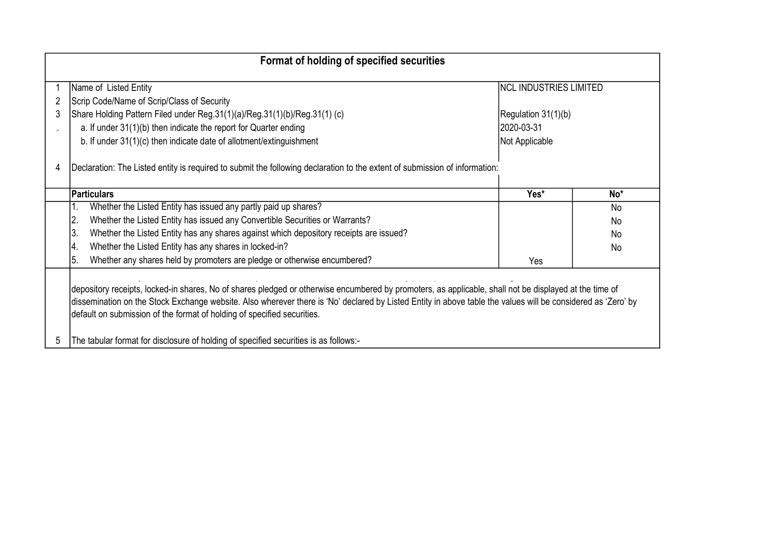| Format of holding of specified securities |                                                                                                                                                                                                                                                                                                                                                                                                                                                                                           |                        |                 |  |  |  |  |  |  |  |  |
|-------------------------------------------|-------------------------------------------------------------------------------------------------------------------------------------------------------------------------------------------------------------------------------------------------------------------------------------------------------------------------------------------------------------------------------------------------------------------------------------------------------------------------------------------|------------------------|-----------------|--|--|--|--|--|--|--|--|
|                                           | Name of Listed Entity                                                                                                                                                                                                                                                                                                                                                                                                                                                                     | NCL INDUSTRIES LIMITED |                 |  |  |  |  |  |  |  |  |
| 2                                         | Scrip Code/Name of Scrip/Class of Security                                                                                                                                                                                                                                                                                                                                                                                                                                                |                        |                 |  |  |  |  |  |  |  |  |
| 3                                         | Share Holding Pattern Filed under Reg.31(1)(a)/Reg.31(1)(b)/Reg.31(1) (c)                                                                                                                                                                                                                                                                                                                                                                                                                 | Regulation 31(1)(b)    |                 |  |  |  |  |  |  |  |  |
|                                           | a. If under 31(1)(b) then indicate the report for Quarter ending                                                                                                                                                                                                                                                                                                                                                                                                                          | 2020-03-31             |                 |  |  |  |  |  |  |  |  |
|                                           | b. If under 31(1)(c) then indicate date of allotment/extinguishment                                                                                                                                                                                                                                                                                                                                                                                                                       | Not Applicable         |                 |  |  |  |  |  |  |  |  |
| 4                                         | Declaration: The Listed entity is required to submit the following declaration to the extent of submission of information:                                                                                                                                                                                                                                                                                                                                                                |                        |                 |  |  |  |  |  |  |  |  |
|                                           | <b>Particulars</b>                                                                                                                                                                                                                                                                                                                                                                                                                                                                        | Yes*                   | No <sup>*</sup> |  |  |  |  |  |  |  |  |
|                                           | Whether the Listed Entity has issued any partly paid up shares?                                                                                                                                                                                                                                                                                                                                                                                                                           |                        | No              |  |  |  |  |  |  |  |  |
|                                           | Whether the Listed Entity has issued any Convertible Securities or Warrants?<br>$\overline{2}$                                                                                                                                                                                                                                                                                                                                                                                            |                        | No              |  |  |  |  |  |  |  |  |
|                                           | 3.<br>Whether the Listed Entity has any shares against which depository receipts are issued?                                                                                                                                                                                                                                                                                                                                                                                              |                        | No              |  |  |  |  |  |  |  |  |
|                                           | Whether the Listed Entity has any shares in locked-in?<br>14.                                                                                                                                                                                                                                                                                                                                                                                                                             |                        | No              |  |  |  |  |  |  |  |  |
|                                           | Whether any shares held by promoters are pledge or otherwise encumbered?<br>5.                                                                                                                                                                                                                                                                                                                                                                                                            | Yes                    |                 |  |  |  |  |  |  |  |  |
| 5                                         | depository receipts, locked-in shares, No of shares pledged or otherwise encumbered by promoters, as applicable, shall not be displayed at the time of<br>dissemination on the Stock Exchange website. Also wherever there is 'No' declared by Listed Entity in above table the values will be considered as 'Zero' by<br>default on submission of the format of holding of specified securities.<br>The tabular format for disclosure of holding of specified securities is as follows:- |                        |                 |  |  |  |  |  |  |  |  |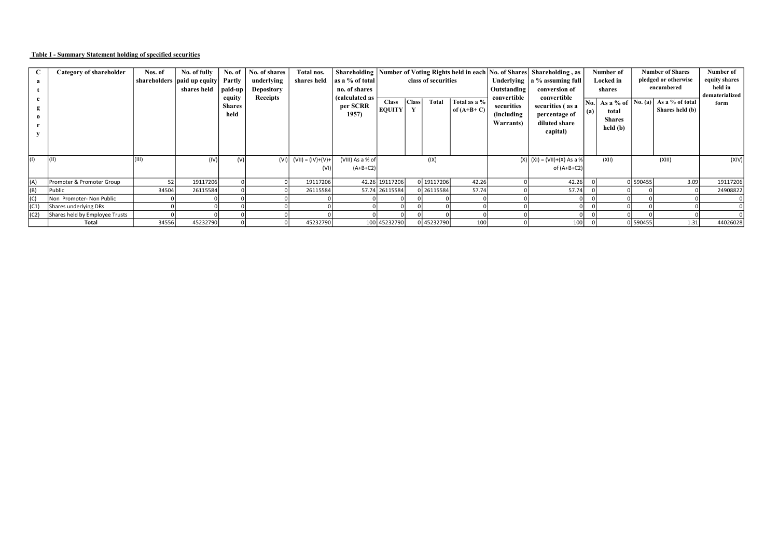## Table I - Summary Statement holding of specified securities

|      | Category of shareholder        | Nos. of         | No. of fully                  | No. of        | No. of shares     | Total nos.                 |                  | Shareholding   Number of Voting Rights held in each   No. of Shares   Shareholding, as |       |                     |              |             | Number of                       | <b>Number of Shares</b> |               | Number of            |                 |                                               |  |                 |                |
|------|--------------------------------|-----------------|-------------------------------|---------------|-------------------|----------------------------|------------------|----------------------------------------------------------------------------------------|-------|---------------------|--------------|-------------|---------------------------------|-------------------------|---------------|----------------------|-----------------|-----------------------------------------------|--|-----------------|----------------|
|      |                                |                 | shareholders   paid up equity | Partly        | underlying        | shares held                | as a % of total  |                                                                                        |       | class of securities |              |             | Underlying $ a\%$ assuming full |                         | Locked in     | pledged or otherwise |                 | equity shares                                 |  |                 |                |
|      |                                |                 | shares held                   | paid-up       | <b>Depository</b> |                            | no. of shares    |                                                                                        |       |                     |              | Outstanding | conversion of                   | shares                  |               | encumbered           |                 | held in                                       |  |                 |                |
|      |                                |                 |                               | equity        | Receipts          |                            | (calculated as   | <b>Class</b>                                                                           | Class | Total               | Total as a % | convertible | convertible                     |                         |               |                      |                 | $\vert$ No. As a % of $\vert$ No. (a) $\vert$ |  | As a % of total | dematerialized |
|      |                                |                 |                               | <b>Shares</b> |                   |                            | per SCRR         | <b>EQUITY</b>                                                                          | Y     |                     | of $(A+B+C)$ | securities  | securities (as a                |                         | total         |                      | Shares held (b) | form                                          |  |                 |                |
|      |                                |                 |                               | held          |                   |                            | 1957             |                                                                                        |       |                     |              | (including) | percentage of                   |                         | <b>Shares</b> |                      |                 |                                               |  |                 |                |
|      |                                |                 |                               |               |                   |                            |                  |                                                                                        |       |                     |              | Warrants)   | diluted share                   |                         | held (b)      |                      |                 |                                               |  |                 |                |
|      |                                |                 |                               |               |                   |                            |                  |                                                                                        |       |                     |              |             | capital)                        |                         |               |                      |                 |                                               |  |                 |                |
|      |                                |                 |                               |               |                   |                            |                  |                                                                                        |       |                     |              |             |                                 |                         |               |                      |                 |                                               |  |                 |                |
|      |                                |                 |                               |               |                   |                            |                  |                                                                                        |       |                     |              |             |                                 |                         |               |                      |                 |                                               |  |                 |                |
| (1)  | (11)                           | (III)           | (IV)                          | (V)           |                   | $(VI)$ $(VII) = (IV)+(V)+$ | (VIII) As a % of |                                                                                        |       | (IX)                |              |             | $(X)$ $(XI) = (VII)+(X) As a %$ |                         | (XII)         |                      | (XIII)          | (XIV)                                         |  |                 |                |
|      |                                |                 |                               |               |                   | (VI)                       | $(A+B+C2)$       |                                                                                        |       |                     |              |             | of $(A+B+C2)$                   |                         |               |                      |                 |                                               |  |                 |                |
|      |                                |                 |                               |               |                   |                            |                  |                                                                                        |       |                     |              |             |                                 |                         |               |                      |                 |                                               |  |                 |                |
| (A)  | Promoter & Promoter Group      | 52 <sub>1</sub> | 19117206                      |               |                   | 19117206                   |                  | 42.26 19117206                                                                         |       | 0 19117206          | 42.26        |             | 42.26                           |                         |               | 0590455              | 3.09            | 19117206                                      |  |                 |                |
| (B)  | Public                         | 34504           | 26115584                      |               |                   | 26115584                   |                  | 57.74 26115584                                                                         |       | 0 26115584          | 57.74        |             | 57.74                           |                         |               |                      |                 | 24908822                                      |  |                 |                |
| (C)  | Non Promoter- Non Public       |                 |                               |               |                   |                            |                  |                                                                                        |       |                     |              |             |                                 |                         |               |                      |                 |                                               |  |                 |                |
| (C1) | Shares underlying DRs          |                 |                               |               |                   |                            |                  |                                                                                        |       |                     |              |             |                                 |                         |               |                      |                 |                                               |  |                 |                |
| (C2) | Shares held by Employee Trusts |                 |                               |               |                   |                            |                  |                                                                                        |       |                     |              |             |                                 |                         |               |                      |                 |                                               |  |                 |                |
|      | Total                          | 34556           | 45232790                      |               |                   | 45232790                   |                  | 100 45232790                                                                           |       | 0 45232790          | 100          |             | 100                             |                         |               | 0 590455             | 1.31            | 44026028                                      |  |                 |                |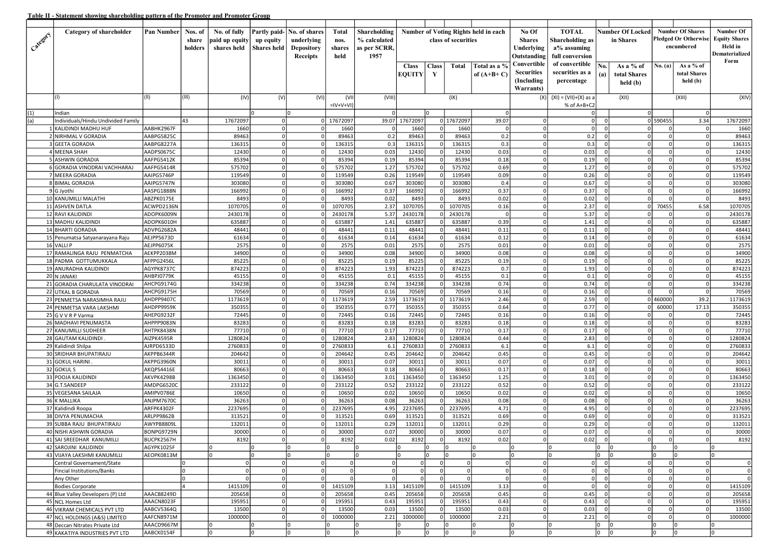|            | Category of shareholder                        | Pan Number               | Nos. of | No. of fully         |                            | Partly paid- No. of shares | Total                | Shareholding |                      | <b>Number of Voting Rights held in each</b><br>class of securities |                                              | No Of                         | <b>TOTAL</b>               |                         | <b>Number Of Locked</b>          |                | <b>Number Of Shares</b>     | Number Of                  |                            |
|------------|------------------------------------------------|--------------------------|---------|----------------------|----------------------------|----------------------------|----------------------|--------------|----------------------|--------------------------------------------------------------------|----------------------------------------------|-------------------------------|----------------------------|-------------------------|----------------------------------|----------------|-----------------------------|----------------------------|----------------------------|
| Category 1 |                                                |                          | share   | paid up equity       | up equity                  | underlying                 | nos.                 | % calculated |                      |                                                                    |                                              | <b>Shares</b>                 | Shareholding as            |                         | in Shares                        |                | <b>Pledged Or Otherwise</b> | <b>Equity Shares</b>       |                            |
|            |                                                |                          | holders | shares held          | Shares held                | <b>Depository</b>          | shares               | as per SCRR, | Underlying           |                                                                    |                                              |                               |                            | $a\%$ assuming          |                                  |                |                             | encumbered                 | Held in                    |
|            |                                                |                          |         |                      |                            | Receipts                   | held                 | 1957         |                      |                                                                    |                                              | Outstanding                   | full conversion            |                         |                                  |                |                             | Dematerialized<br>Form     |                            |
|            |                                                |                          |         |                      |                            |                            |                      |              | <b>Class</b>         | <b>Class</b>                                                       | Total                                        | Total as a %                  | Convertible                | of convertible          | No.                              | As a % of      | No. (a)                     | As a % of                  |                            |
|            |                                                |                          |         |                      |                            |                            |                      |              | <b>EQUITY</b>        | Y                                                                  |                                              | of $(A+B+C)$                  | <b>Securities</b>          | securities as a         | (a)                              | total Shares   |                             | total Shares               |                            |
|            |                                                |                          |         |                      |                            |                            |                      |              |                      |                                                                    |                                              |                               | (Including)                | percentage              |                                  | held (b)       |                             | held (b)                   |                            |
|            |                                                |                          |         |                      |                            |                            |                      |              |                      |                                                                    |                                              |                               | Warrants)                  |                         |                                  |                |                             |                            |                            |
|            |                                                | (II)                     | (III)   | (IV)                 | (V)                        | (VI)                       | (VII                 | (VIII)       |                      |                                                                    | (IX)                                         |                               | (X                         | $(XI) = (VII)+(X)$ as a |                                  | (XII)          |                             | (XIII)                     | (XIV)                      |
|            |                                                |                          |         |                      |                            |                            | $=$ IV+V+VI]         |              |                      |                                                                    |                                              |                               |                            | % of A+B+C2             |                                  |                |                             |                            |                            |
| (1)        | Indian                                         |                          |         |                      |                            |                            |                      |              |                      | Iо                                                                 |                                              | $\Omega$                      |                            |                         |                                  | 0              |                             | $\Omega$                   |                            |
| (a)        | Individuals/Hindu Undivided Family             |                          | 43      | 17672097             | $\Omega$                   |                            | 0 17672097           |              | 39.07 17672097       |                                                                    | 0 17672097                                   | 39.07                         |                            | 0                       | $\Omega$                         |                | 0 590455                    | 3.34                       | 17672097                   |
|            | 1 KALIDINDI MADHU HUF<br>2 NIRHMAL V GORADIA   | AABHK2967F<br>AABPG5825C |         | 1660<br>89463        | 0<br>$\Omega$              | οI<br> 0                   | 1660<br>89463        | - 0<br>0.2   | 1660<br>89463        |                                                                    | 1660<br>$\Omega$<br>89463<br>οI              | $\overline{0}$<br>0.2         | $\Omega$<br>$\Omega$       | -o l<br>0.2             | $\Omega$<br>$\Omega$             | 0l<br> 0       | οI<br> 0                    | 0<br>$\mathbf 0$           | 1660<br>89463              |
|            | 3 GEETA GORADIA                                | AABPG8227A               |         | 136315               | $\Omega$                   | $\Omega$                   | 136315               | 0.3          | 136315               | $\Omega$                                                           | 136315                                       | 0.3                           | $\Omega$                   | 0.3                     |                                  | $\Omega$       | $\Omega$                    | $\Omega$                   | 136315                     |
|            | 4 MEENA SHAH                                   | AADPS0675C               |         | 12430                | $\Omega$                   | $\Omega$                   | 12430                | 0.03         | 12430                |                                                                    | 12430                                        | 0.03                          | $\Omega$                   | 0.03                    |                                  | $\Omega$       | $\Omega$                    | $\Omega$                   | 12430                      |
|            | 5 ASHWIN GORADIA                               | AAFPG5412K               |         | 85394                | $\Omega$                   | 0                          | 85394                | 0.19         | 85394                | $\Omega$                                                           | 85394                                        | 0.18                          | $\Omega$                   | 0.19                    |                                  | 0              | 0                           | $\mathbf 0$                | 85394                      |
|            | 6 GORADIA VINODRAI VACHHARAJ                   | AAFPG5414R               |         | 575702               | $\Omega$                   | 0                          | 575702               | 1.27         | 575702               | $\Omega$                                                           | 575702                                       | 0.69                          | $\Omega$                   | 1.27                    |                                  | $\Omega$       | 0                           | $\mathbf 0$                | 575702                     |
|            | 7 MEERA GORADIA                                | AAIPG5746P               |         | 119549               | $\Omega$                   | 0                          | 119549               | 0.26         | 119549               | $\Omega$                                                           | 119549                                       | 0.09                          | $\Omega$                   | 0.26                    | $\Omega$                         | 0              | 0                           | $\mathbf 0$                | 119549                     |
|            | 8 BIMAL GORADIA                                | AAIPG5747N               |         | 303080               | $\Omega$                   | 0                          | 303080               | 0.67         | 303080               |                                                                    | 303080                                       | 0.4                           | $\Omega$                   | 0.67                    | $\Omega$                         | $\Omega$       | $\Omega$                    | $\Omega$                   | 303080                     |
|            | 9 G Jyothi                                     | AASPG1888N               |         | 166992               | $\Omega$                   | $\Omega$                   | 166992               | 0.37         | 166992               |                                                                    | 166992                                       | 0.37                          | $\Omega$                   | 0.37                    |                                  | $\Omega$       | 0                           | $\Omega$                   | 166992                     |
|            | 10 KANUMILLI MALATHI                           | ABZPK0175E               |         | 8493                 | $\Omega$                   | 0                          | 8493                 | 0.02         | 8493                 | $\Omega$                                                           | 8493                                         | 0.02                          | $\Omega$                   | 0.02                    | $\Omega$                         | 0              | 0                           | $\overline{0}$             | 8493                       |
|            | 11 ASHVEN DATLA                                | ACWPD2136N               |         | 1070705              | $\Omega$                   | $\Omega$                   | 1070705              | 2.37         | 1070705              |                                                                    | 1070705<br>$\Omega$                          | 0.16                          | $\Omega$                   | 2.37                    | $\sqrt{ }$                       | 0              | 70455                       | 6.58                       | 1070705                    |
|            | 12 RAVI KALIDINDI                              | ADOPK6009N               |         | 2430178              | 0                          | 0                          | 2430178              | 5.37         | 2430178              | $\Omega$                                                           | 2430178                                      | $\overline{0}$                | $\Omega$                   | 5.37                    | $\Omega$                         | 0              | 0l                          | 0                          | 2430178                    |
|            | 13 MADHU KALIDINDI                             | ADOPK6010H               |         | 635887               | $\Omega$                   | $\Omega$                   | 635887               | 1.41         | 635887               | $\Omega$                                                           | 635887                                       | 0.39                          | $\Omega$                   | 1.41                    |                                  | $\Omega$       | $\Omega$                    | $\mathbf 0$                | 635887                     |
|            | 14 BHARTI GORADIA                              | ADVPG2682A               |         | 48441                | $\Omega$                   | $\Omega$                   | 48441                | 0.11         | 48441                |                                                                    | 48441                                        | 0.11                          | $\Omega$                   | 0.11                    |                                  | $\Omega$       | 0                           | $\Omega$                   | 48441                      |
|            | 15 Penumatsa Satyanarayana Raju                | AEJPP5673D               |         | 61634                | $\Omega$                   | 0                          | 61634                | 0.14         | 61634                | $\Omega$                                                           | 61634                                        | 0.12                          | $\Omega$                   | 0.14                    | $\Omega$                         | 0              | 0                           | $\mathbf 0$                | 61634                      |
|            | 16 VALLI P                                     | AEJPP6075K               |         | 2575                 | $\Omega$<br>$\Omega$       | 0                          | 2575                 | 0.01         | 2575                 | $\Omega$                                                           | 2575                                         | 0.01                          | $\Omega$                   | 0.01                    |                                  | $\Omega$       | 0                           | $\Omega$                   | 2575                       |
|            | 17 RAMALINGA RAJU PENMATCHA                    | AEKPP2038M               |         | 34900<br>85225       | $\Omega$                   | 0 <br>0                    | 34900<br>85225       | 0.08<br>0.19 | 34900<br>85225       | $\Omega$                                                           | 34900<br>85225                               | 0.08<br>0.19                  | $\Omega$<br>$\Omega$       | 0.08<br>0.19            | $\Omega$                         | 0 <br>$\Omega$ | 0 <br>$\Omega$              | $\mathbf 0$<br>$\Omega$    | 34900<br>85225             |
|            | 18 PADMA GOTTUMUKKALA<br>19 ANURADHA KALIDINDI | AFPPG2456L<br>AGYPK8737C |         | 874223               | $\Omega$                   | $\Omega$                   | 874223               | 1.93         | 874223               |                                                                    | 874223                                       | 0.7                           | $\Omega$                   | 1.93                    |                                  | $\Omega$       | 0                           | $\Omega$                   | 874223                     |
|            | 20 N JANAKI                                    | AHBPJ0779K               |         | 45155                | $\Omega$                   | 0                          | 45155                | 0.1          | 45155                | $\Omega$                                                           | 45155                                        | 0.1                           | $\Omega$                   | 0.1                     | $\Omega$                         | 0              | 0                           | $\mathbf 0$                | 45155                      |
|            | 21 GORADIA CHARULATA VINODRAI                  | AHCPG9174G               |         | 334238               | $\Omega$                   | 0                          | 334238               | 0.74         | 334238               | $\Omega$                                                           | 334238                                       | 0.74                          | $\Omega$                   | 0.74                    |                                  | 0l             | 0                           | $\Omega$                   | 334238                     |
|            | 22 UTKAL B GORADIA                             | AHCPG9175H               |         | 70569                | $\Omega$                   | 0                          | 70569                | 0.16         | 70569                | $\Omega$                                                           | 70569                                        | 0.16                          | $\Omega$                   | 0.16                    |                                  | οI             | 0 l                         | $\Omega$                   | 70569                      |
|            | 23 PENMETSA NARASIMHA RAJU                     | AHDPP9407C               |         | 1173619              | $\Omega$                   | $\Omega$                   | 1173619              | 2.59         | 1173619              |                                                                    | 1173619<br>$\Omega$                          | 2.46                          | $\Omega$                   | 2.59                    |                                  |                | 0 460000                    | 39.2                       | 1173619                    |
|            | 24 PENMETSA VARA LAKSHMI                       | AHDPP9959K               |         | 350355               | $\Omega$                   | $\Omega$                   | 350355               | 0.77         | 350355               |                                                                    | 350355                                       | 0.64                          | $\Omega$                   | 0.77                    |                                  | οI             | 60000                       | 17.13                      | 350355                     |
|            | 25 G V V R P Varma                             | AHEPG9232F               |         | 72445                | $\Omega$                   | 0                          | 72445                | 0.16         | 72445                | $\Omega$                                                           | 72445                                        | 0.16                          | $\Omega$                   | 0.16                    | $\Omega$                         | $\Omega$       | $\Omega$                    | $\mathbf 0$                | 72445                      |
|            | 26 MADHAVI PENUMASTA                           | AHPPP9083N               |         | 83283                | $\Omega$                   | 0                          | 83283                | 0.18         | 83283                | $\Omega$                                                           | 83283                                        | 0.18                          | $\Omega$                   | 0.18                    | $\Omega$                         | $\Omega$       | 0                           | $\overline{0}$             | 83283                      |
|            | 27 KANUMILLI SUDHEER                           | AHTPK8438N               |         | 77710                | $\Omega$                   | 0                          | 77710                | 0.17         | 77710                | $\Omega$                                                           | 77710                                        | 0.17                          | $\Omega$                   | 0.17                    |                                  | 0              | 0 l                         | $\mathbf 0$                | 77710                      |
|            | 28 GAUTAM KALIDINDI                            | AIZPK4595R               |         | 1280824              | $\Omega$                   | $\Omega$                   | 1280824              | 2.83         | 1280824              |                                                                    | 1280824<br>$\Omega$                          | 0.44                          | $\Omega$                   | 2.83                    |                                  | $\Omega$       | 0                           | $\mathbf 0$                | 1280824                    |
|            | 29 Kalidindi Shilpa                            | AJRPD6533D               |         | 2760833              | $\Omega$                   | $\Omega$                   | 2760833              | 6.1          | 2760833              |                                                                    | 2760833                                      | 6.1                           | $\Omega$                   | 6.1                     |                                  | $\Omega$       | $\Omega$                    | $\Omega$                   | 2760833                    |
|            | 30 SRIDHAR BHUPATIRAJU                         | AKPPB6344R               |         | 204642               | $\Omega$<br>0 <sup>l</sup> | 0                          | 204642               | 0.45         | 204642               | $\Omega$<br>$\Omega$                                               | 204642                                       | 0.45                          | $\Omega$                   | 0.45                    | $\Omega$<br>$\Omega$             | 0 <br>$\Omega$ | 0                           | $\mathbf 0$                | 204642                     |
|            | 31 GOKUL HARINI<br>32 GOKULS                   | AKPPG3960N<br>AKQPS4416E |         | 30011<br>80663       | $\Omega$                   | 0<br> 0                    | 30011<br>80663       | 0.07<br>0.18 | 30011<br>80663       | $\Omega$                                                           | 30011<br>80663                               | 0.07<br>0.17                  | $\overline{0}$<br>$\Omega$ | 0.07<br>0.18            | $\Omega$                         | 0              | οI<br> 0                    | $\mathbf 0$<br>$\mathbf 0$ | 30011<br>80663             |
|            | 33 POOJA KALIDINDI                             | AKVPK4298B               |         | 1363450              | $\Omega$                   | $\Omega$                   | 1363450              | 3.01         | 1363450              |                                                                    | 1363450<br>$\Omega$                          | 1.25                          | $\Omega$                   | 3.01                    | $\Omega$                         | $\Omega$       | 0                           | $\mathbf 0$                | 1363450                    |
|            | 34 G.T.SANDEEP                                 | AMDPG6520C               |         | 233122               | $\Omega$                   | $\Omega$                   | 233122               | 0.52         | 233122               |                                                                    | 233122                                       | 0.52                          | $\Omega$                   | 0.52                    |                                  | $\Omega$       | 0                           | $\Omega$                   | 233122                     |
|            | 35 VEGESANA SAILAJA                            | AMIPV0786E               |         | 10650                | $\Omega$                   | 0                          | 10650                | 0.02         | 10650                |                                                                    | 10650                                        | 0.02                          | $\Omega$                   | 0.02                    |                                  | 0              | 0                           | $\mathbf 0$                | 10650                      |
|            | 36 K MALLIKA                                   | ANJPM7670C               |         | 36263                | 0 <sup>l</sup>             | 0                          | 36263                | 0.08         | 36263                | $\Omega$                                                           | 36263                                        | 0.08                          | $\Omega$                   | 0.08                    | $\Omega$                         | $\Omega$       | 0                           | $\mathbf 0$                | 36263                      |
|            | 37 Kalidindi Roopa                             | ARFPK4302F               |         | 2237695              | $\Omega$                   | 0                          | 2237695              | 4.95         | 2237695              | $\Omega$                                                           | 2237695                                      | 4.71                          | $\Omega$                   | 4.95                    | $\Omega$                         | 0              | 0                           | $\mathbf 0$                | 2237695                    |
|            | 38 DIVYA PENUMACHA                             | ARLPP9862B               |         | 313521               | $\Omega$                   | $\Omega$                   | 313521               | 0.69         | 313521               |                                                                    | 313521                                       | 0.69                          | $\Omega$                   | 0.69                    |                                  | $\overline{0}$ | $\Omega$                    | $\mathbf 0$                | 313521                     |
|            | 39 SUBBA RAJU BHUPATIRAJU                      | AWYPB8809L               |         | 132011               | $\Omega$                   | $\Omega$                   | 132011               | 0.29         | 132011               |                                                                    | 132011                                       | 0.29                          | $\Omega$                   | 0.29                    |                                  | $\Omega$       | $\Omega$                    | $\Omega$                   | 132011                     |
|            | 40 NISHI ASHWIN GORADIA                        | BONPG9729N               |         | 30000                | 0                          | $\Omega$                   | 30000                | 0.07         | 30000                |                                                                    | 30000                                        | 0.07                          | $\Omega$                   | 0.07                    |                                  | $\Omega$       | 0                           | $\Omega$                   | 30000                      |
|            | 41 SAI SREEDHAR KANUMILLI                      | BUCPK2567H               |         | 8192                 | οI                         | οI                         | 8192                 | 0.02         | 8192                 |                                                                    | 8192<br>0I                                   | 0.02                          | -o l                       | 0.02                    | $\overline{\mathbf{0}}$          | 0              | 0                           | 0                          | 8192                       |
|            | 42 SAROJINI KALIDINDI                          | AGYPK1025F               |         | 0                    |                            | I٥                         | Iо                   | I٥           | I٥                   | 10                                                                 | 10                                           |                               | I٥                         | l0                      | 0                                | 10             | 10                          | I٥                         |                            |
|            | 43 VIJAYA LAKSHMI KANUMILLI                    | AEOPK0813M               |         | $\Omega$             |                            | I٥                         | Iо                   | I٥           | l٥                   | lo.                                                                | Iо                                           |                               | l٥                         | l0                      | lo.                              | I٥             | I٥                          | l٥                         |                            |
|            | Central Governament/State                      |                          |         | $\Omega$             | $\Omega$                   | $\Omega$                   | $\Omega$<br>$\Omega$ |              | $\Omega$<br>$\Omega$ |                                                                    | $\mathbf 0$<br>$\Omega$                      | $\mathbf 0$                   | $\Omega$                   | 0                       | $\overline{0}$                   | 0              | οI                          | $\Omega$<br>$\Omega$       | $\mathbf 0$                |
|            | <b>Fincial Institutions/Banks</b><br>Any Other |                          | I٥      | $\Omega$<br>$\Omega$ | 0<br>0                     | $\Omega$<br>$\Omega$       | 0l                   | 0I           | $\Omega$             |                                                                    | $\Omega$<br>$\Omega$<br>$\Omega$<br>$\Omega$ | $\mathbf 0$<br>$\overline{0}$ | $\Omega$<br>ol             | 0 <br>-ol               | $\overline{0}$<br>$\overline{0}$ | 0 <br>0l       | -o l<br>-o l                | $\mathbf 0$                | $\mathbf 0$<br>$\mathbf 0$ |
|            | <b>Bodies Corporate</b>                        |                          |         | 1415109              | 0                          | 0                          | 1415109              | 3.13         | 1415109              |                                                                    | 0 1415109                                    | 3.13                          | $\circ$                    | 0                       | $\overline{\mathbf{0}}$          | 0              | 0                           | 0                          | 1415109                    |
|            | 44 Blue Valley Developers (P) Ltd              | AAACB8249D               |         | 205658               | $\Omega$                   | $\Omega$                   | 205658               | 0.45         | 205658               |                                                                    | 205658<br>$\Omega$                           | 0.45                          | $\Omega$                   | 0.45                    | $\Omega$                         | 0              | οI                          | 0                          | 205658                     |
|            | 45 NCL Homes Ltd                               | AAACN8023F               |         | 195951               | $\Omega$                   | $\Omega$                   | 195951               | 0.43         | 195951               |                                                                    | 195951                                       | 0.43                          | $\Omega$                   | 0.43                    | $\Omega$                         | $\Omega$       | 0                           | $\Omega$                   | 195951                     |
|            | 46 VIKRAM CHEMICALS PVT LTD                    | AABCV5364Q               |         | 13500                | 0                          | $\Omega$                   | 13500                | 0.03         | 13500                |                                                                    | 13500<br>0                                   | 0.03                          | $\Omega$                   | 0.03                    | $\Omega$                         | 0              | 0                           | $\Omega$                   | 13500                      |
|            | 47 NCL HOLDINGS (A&S) LIMITED                  | AAFCN8971M               |         | 1000000              | 0 <sup>l</sup>             | 0                          | 1000000              | 2.21         | 1000000              |                                                                    | 0 1000000                                    | 2.21                          | ΩI                         | 2.21                    | $\Omega$                         | 0              | $\Omega$                    | $\mathbf 0$                | 1000000                    |
|            | 48 Deccan Nitrates Private Ltd                 | AAACD9667M               |         | 10                   |                            | l0                         | 10                   | 10           | 0                    | I٥                                                                 | 10                                           | ١o                            | I۵                         | ۱O                      | 0                                | 10             | 10                          | 10                         |                            |
|            | 49 KAKATIYA INDUSTRIES PVT LTD                 | AABCK0154F               |         | I٥                   |                            | I٥                         | I٥                   | Iо           | l٥                   | lo.                                                                | Iо                                           | lo.                           | I٥                         | l0                      | lo.                              | Iо             |                             | I٥                         |                            |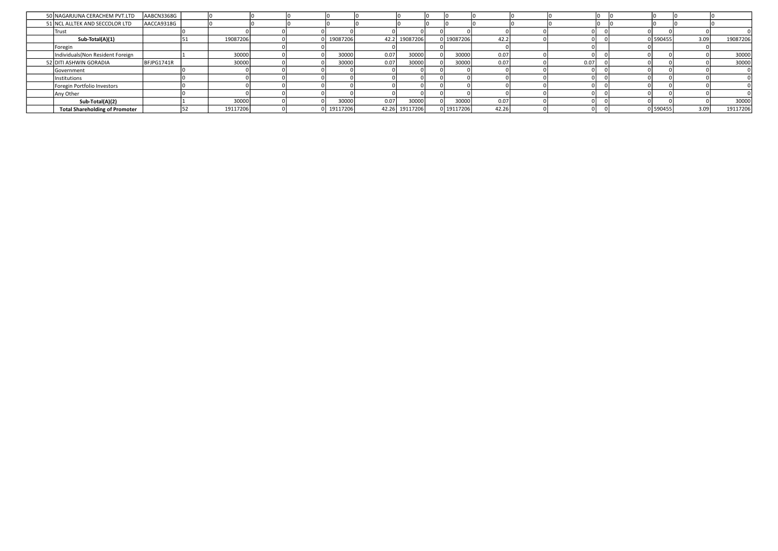| 50 NAGARJUNA CERACHEM PVT.LTD         | AABCN3368G |          |  |          |      |                |            |       |      |         |      |          |
|---------------------------------------|------------|----------|--|----------|------|----------------|------------|-------|------|---------|------|----------|
| 51 NCL ALLTEK AND SECCOLOR LTD        | AACCA9318G |          |  |          |      |                |            |       |      |         |      |          |
| Trust                                 |            |          |  |          |      |                |            |       |      |         |      |          |
| Sub-Total(A)(1)                       |            | 19087206 |  | 19087206 |      | 42.2 19087206  | 0 19087206 | 42.2  |      | 590455  | 3.09 | 19087206 |
| Foregin                               |            |          |  |          |      |                |            |       |      |         |      |          |
| Individuals (Non Resident Foreign     |            | 30000    |  | 30000    | 0.07 | 30000          | 30000      | 0.07  |      |         |      | 30000    |
| 52 DITI ASHWIN GORADIA                | BFJPG1741R | 30000    |  | 30000    | 0.07 | 30000          | 30000      | 0.07  | 0.07 |         |      | 30000    |
| Government                            |            |          |  |          |      |                |            |       |      |         |      |          |
| Institutions                          |            |          |  |          |      |                |            |       |      |         |      |          |
| Foregin Portfolio Investors           |            |          |  |          |      |                |            |       |      |         |      |          |
| Any Other                             |            |          |  |          |      |                |            |       |      |         |      |          |
| Sub-Total(A)(2)                       |            | 30000    |  | 30000    | 0.07 | 30000          | 30000      | 0.07  |      |         |      | 30000    |
| <b>Total Shareholding of Promoter</b> |            | 19117206 |  | 19117206 |      | 42.26 19117206 | 0 19117206 | 42.26 |      | 1590455 | 3.09 | 19117206 |